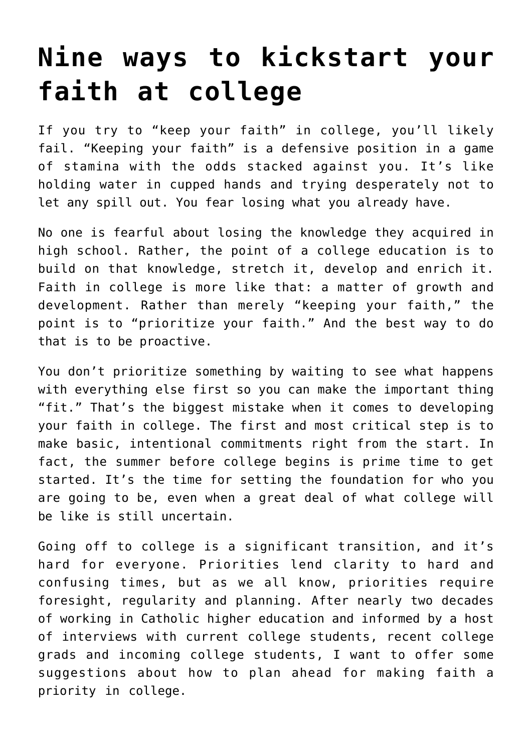# **[Nine ways to kickstart your](https://www.osvnews.com/2018/08/19/nine-ways-to-kickstart-your-faith-at-college/) [faith at college](https://www.osvnews.com/2018/08/19/nine-ways-to-kickstart-your-faith-at-college/)**

If you try to "keep your faith" in college, you'll likely fail. "Keeping your faith" is a defensive position in a game of stamina with the odds stacked against you. It's like holding water in cupped hands and trying desperately not to let any spill out. You fear losing what you already have.

No one is fearful about losing the knowledge they acquired in high school. Rather, the point of a college education is to build on that knowledge, stretch it, develop and enrich it. Faith in college is more like that: a matter of growth and development. Rather than merely "keeping your faith," the point is to "prioritize your faith." And the best way to do that is to be proactive.

You don't prioritize something by waiting to see what happens with everything else first so you can make the important thing "fit." That's the biggest mistake when it comes to developing your faith in college. The first and most critical step is to make basic, intentional commitments right from the start. In fact, the summer before college begins is prime time to get started. It's the time for setting the foundation for who you are going to be, even when a great deal of what college will be like is still uncertain.

Going off to college is a significant transition, and it's hard for everyone. Priorities lend clarity to hard and confusing times, but as we all know, priorities require foresight, regularity and planning. After nearly two decades of working in Catholic higher education and informed by a host of interviews with current college students, recent college grads and incoming college students, I want to offer some suggestions about how to plan ahead for making faith a priority in college.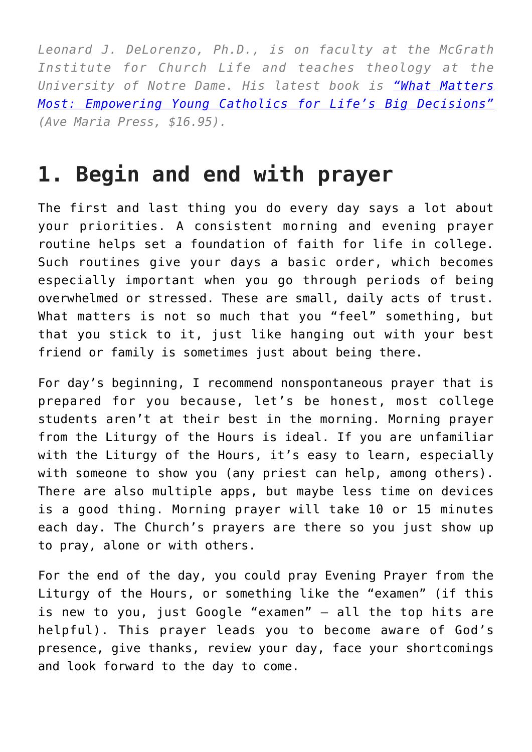*Leonard J. DeLorenzo, Ph.D., is on faculty at the McGrath Institute for Church Life and teaches theology at the University of Notre Dame. His latest book is ["What Matters](https://amzn.to/2MjWAIQ) [Most: Empowering Young Catholics for Life's Big Decisions"](https://amzn.to/2MjWAIQ) (Ave Maria Press, \$16.95).*

## **1. Begin and end with prayer**

The first and last thing you do every day says a lot about your priorities. A consistent morning and evening prayer routine helps set a foundation of faith for life in college. Such routines give your days a basic order, which becomes especially important when you go through periods of being overwhelmed or stressed. These are small, daily acts of trust. What matters is not so much that you "feel" something, but that you stick to it, just like hanging out with your best friend or family is sometimes just about being there.

For day's beginning, I recommend nonspontaneous prayer that is prepared for you because, let's be honest, most college students aren't at their best in the morning. Morning prayer from the Liturgy of the Hours is ideal. If you are unfamiliar with the Liturgy of the Hours, it's easy to learn, especially with someone to show you (any priest can help, among others). There are also multiple apps, but maybe less time on devices is a good thing. Morning prayer will take 10 or 15 minutes each day. The Church's prayers are there so you just show up to pray, alone or with others.

For the end of the day, you could pray Evening Prayer from the Liturgy of the Hours, or something like the "examen" (if this is new to you, just Google "examen" — all the top hits are helpful). This prayer leads you to become aware of God's presence, give thanks, review your day, face your shortcomings and look forward to the day to come.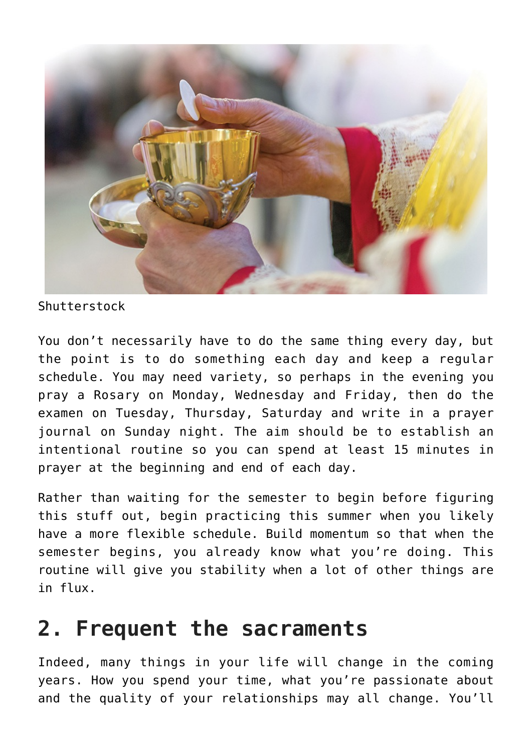

Shutterstock

You don't necessarily have to do the same thing every day, but the point is to do something each day and keep a regular schedule. You may need variety, so perhaps in the evening you pray a Rosary on Monday, Wednesday and Friday, then do the examen on Tuesday, Thursday, Saturday and write in a prayer journal on Sunday night. The aim should be to establish an intentional routine so you can spend at least 15 minutes in prayer at the beginning and end of each day.

Rather than waiting for the semester to begin before figuring this stuff out, begin practicing this summer when you likely have a more flexible schedule. Build momentum so that when the semester begins, you already know what you're doing. This routine will give you stability when a lot of other things are in flux.

## **2. Frequent the sacraments**

Indeed, many things in your life will change in the coming years. How you spend your time, what you're passionate about and the quality of your relationships may all change. You'll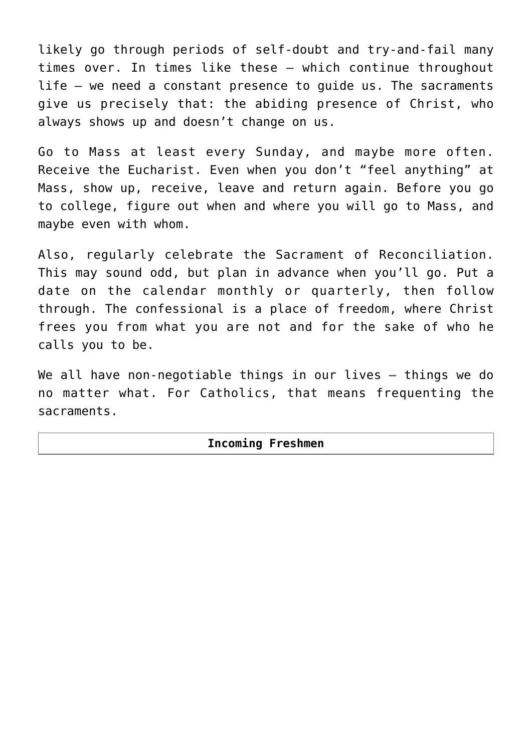likely go through periods of self-doubt and try-and-fail many times over. In times like these — which continue throughout life — we need a constant presence to guide us. The sacraments give us precisely that: the abiding presence of Christ, who always shows up and doesn't change on us.

Go to Mass at least every Sunday, and maybe more often. Receive the Eucharist. Even when you don't "feel anything" at Mass, show up, receive, leave and return again. Before you go to college, figure out when and where you will go to Mass, and maybe even with whom.

Also, regularly celebrate the Sacrament of Reconciliation. This may sound odd, but plan in advance when you'll go. Put a date on the calendar monthly or quarterly, then follow through. The confessional is a place of freedom, where Christ frees you from what you are not and for the sake of who he calls you to be.

We all have non-negotiable things in our lives - things we do no matter what. For Catholics, that means frequenting the sacraments.

#### **Incoming Freshmen**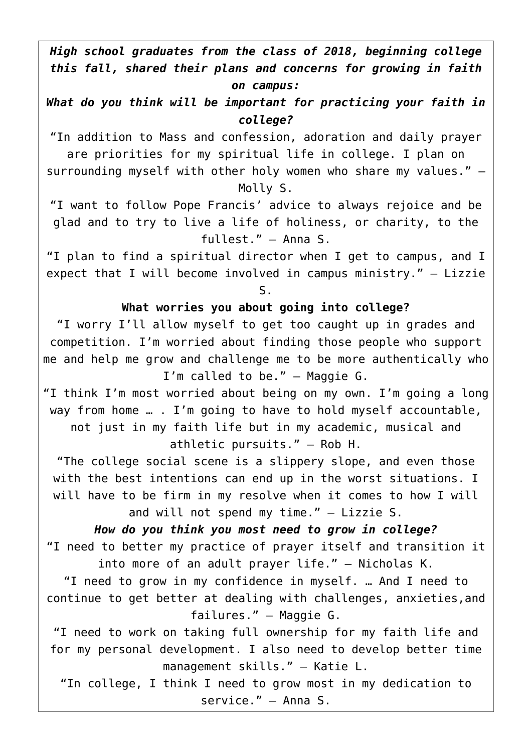*High school graduates from the class of 2018, beginning college this fall, shared their plans and concerns for growing in faith on campus:*

*What do you think will be important for practicing your faith in college?*

"In addition to Mass and confession, adoration and daily prayer are priorities for my spiritual life in college. I plan on

surrounding myself with other holy women who share my values." — Molly S.

"I want to follow Pope Francis' advice to always rejoice and be glad and to try to live a life of holiness, or charity, to the fullest." — Anna S.

"I plan to find a spiritual director when I get to campus, and I expect that I will become involved in campus ministry." — Lizzie S.

#### **What worries you about going into college?**

"I worry I'll allow myself to get too caught up in grades and competition. I'm worried about finding those people who support me and help me grow and challenge me to be more authentically who I'm called to be." — Maggie G.

"I think I'm most worried about being on my own. I'm going a long way from home … . I'm going to have to hold myself accountable,

not just in my faith life but in my academic, musical and athletic pursuits." — Rob H.

"The college social scene is a slippery slope, and even those with the best intentions can end up in the worst situations. I will have to be firm in my resolve when it comes to how I will and will not spend my time." — Lizzie S.

*How do you think you most need to grow in college?* "I need to better my practice of prayer itself and transition it into more of an adult prayer life." — Nicholas K.

"I need to grow in my confidence in myself. … And I need to continue to get better at dealing with challenges, anxieties,and failures." — Maggie G.

"I need to work on taking full ownership for my faith life and for my personal development. I also need to develop better time management skills." — Katie L.

"In college, I think I need to grow most in my dedication to service." — Anna S.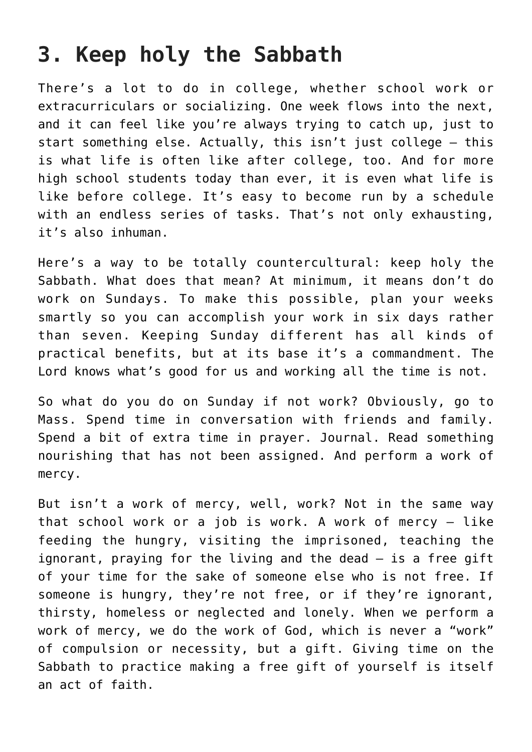## **3. Keep holy the Sabbath**

There's a lot to do in college, whether school work or extracurriculars or socializing. One week flows into the next, and it can feel like you're always trying to catch up, just to start something else. Actually, this isn't just college — this is what life is often like after college, too. And for more high school students today than ever, it is even what life is like before college. It's easy to become run by a schedule with an endless series of tasks. That's not only exhausting, it's also inhuman.

Here's a way to be totally countercultural: keep holy the Sabbath. What does that mean? At minimum, it means don't do work on Sundays. To make this possible, plan your weeks smartly so you can accomplish your work in six days rather than seven. Keeping Sunday different has all kinds of practical benefits, but at its base it's a commandment. The Lord knows what's good for us and working all the time is not.

So what do you do on Sunday if not work? Obviously, go to Mass. Spend time in conversation with friends and family. Spend a bit of extra time in prayer. Journal. Read something nourishing that has not been assigned. And perform a work of mercy.

But isn't a work of mercy, well, work? Not in the same way that school work or a job is work. A work of mercy — like feeding the hungry, visiting the imprisoned, teaching the ignorant, praying for the living and the dead — is a free gift of your time for the sake of someone else who is not free. If someone is hungry, they're not free, or if they're ignorant, thirsty, homeless or neglected and lonely. When we perform a work of mercy, we do the work of God, which is never a "work" of compulsion or necessity, but a gift. Giving time on the Sabbath to practice making a free gift of yourself is itself an act of faith.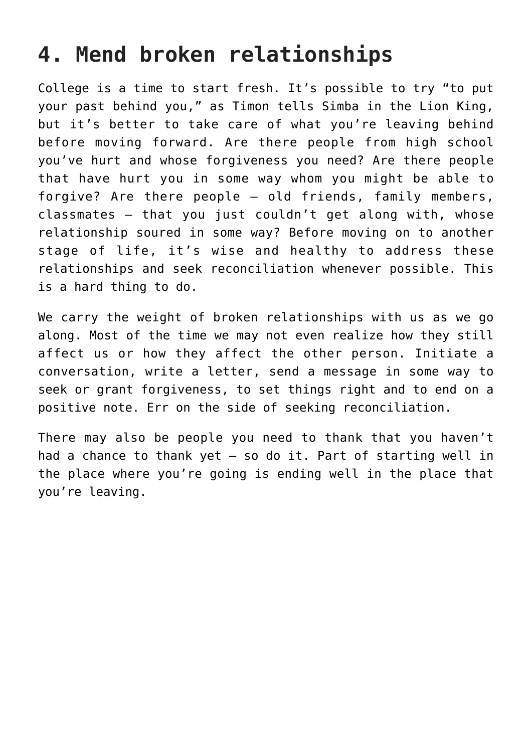## **4. Mend broken relationships**

College is a time to start fresh. It's possible to try "to put your past behind you," as Timon tells Simba in the Lion King, but it's better to take care of what you're leaving behind before moving forward. Are there people from high school you've hurt and whose forgiveness you need? Are there people that have hurt you in some way whom you might be able to forgive? Are there people — old friends, family members, classmates — that you just couldn't get along with, whose relationship soured in some way? Before moving on to another stage of life, it's wise and healthy to address these relationships and seek reconciliation whenever possible. This is a hard thing to do.

We carry the weight of broken relationships with us as we go along. Most of the time we may not even realize how they still affect us or how they affect the other person. Initiate a conversation, write a letter, send a message in some way to seek or grant forgiveness, to set things right and to end on a positive note. Err on the side of seeking reconciliation.

There may also be people you need to thank that you haven't had a chance to thank yet — so do it. Part of starting well in the place where you're going is ending well in the place that you're leaving.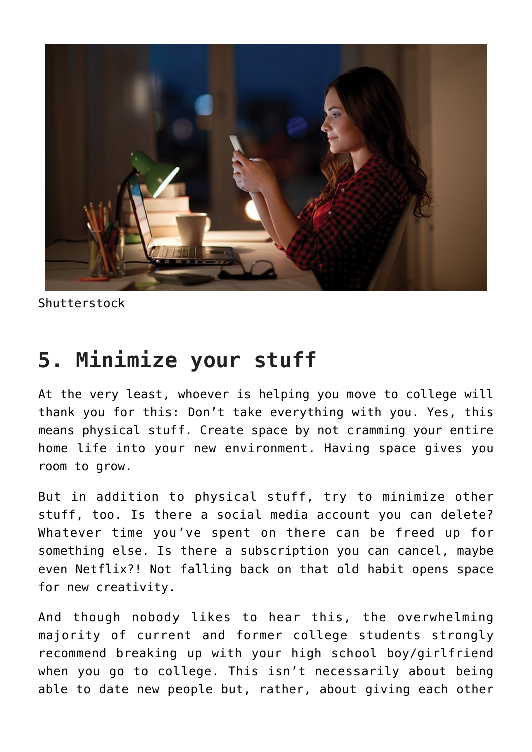

Shutterstock

### **5. Minimize your stuff**

At the very least, whoever is helping you move to college will thank you for this: Don't take everything with you. Yes, this means physical stuff. Create space by not cramming your entire home life into your new environment. Having space gives you room to grow.

But in addition to physical stuff, try to minimize other stuff, too. Is there a social media account you can delete? Whatever time you've spent on there can be freed up for something else. Is there a subscription you can cancel, maybe even Netflix?! Not falling back on that old habit opens space for new creativity.

And though nobody likes to hear this, the overwhelming majority of current and former college students strongly recommend breaking up with your high school boy/girlfriend when you go to college. This isn't necessarily about being able to date new people but, rather, about giving each other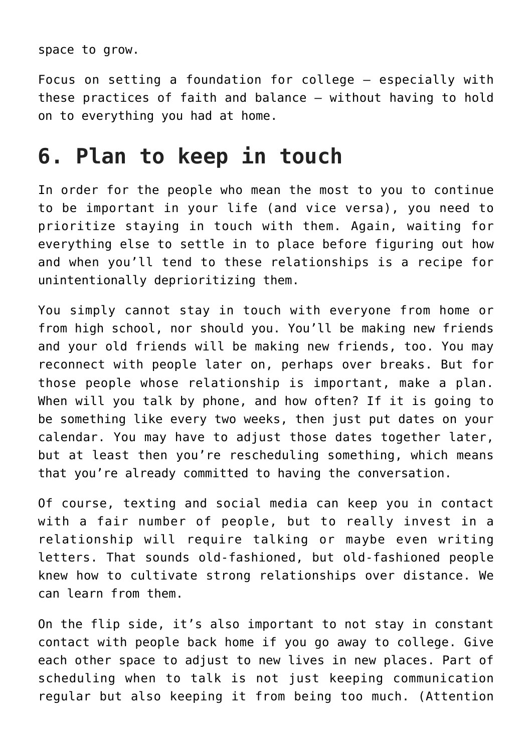space to grow.

Focus on setting a foundation for college — especially with these practices of faith and balance — without having to hold on to everything you had at home.

## **6. Plan to keep in touch**

In order for the people who mean the most to you to continue to be important in your life (and vice versa), you need to prioritize staying in touch with them. Again, waiting for everything else to settle in to place before figuring out how and when you'll tend to these relationships is a recipe for unintentionally deprioritizing them.

You simply cannot stay in touch with everyone from home or from high school, nor should you. You'll be making new friends and your old friends will be making new friends, too. You may reconnect with people later on, perhaps over breaks. But for those people whose relationship is important, make a plan. When will you talk by phone, and how often? If it is going to be something like every two weeks, then just put dates on your calendar. You may have to adjust those dates together later, but at least then you're rescheduling something, which means that you're already committed to having the conversation.

Of course, texting and social media can keep you in contact with a fair number of people, but to really invest in a relationship will require talking or maybe even writing letters. That sounds old-fashioned, but old-fashioned people knew how to cultivate strong relationships over distance. We can learn from them.

On the flip side, it's also important to not stay in constant contact with people back home if you go away to college. Give each other space to adjust to new lives in new places. Part of scheduling when to talk is not just keeping communication regular but also keeping it from being too much. (Attention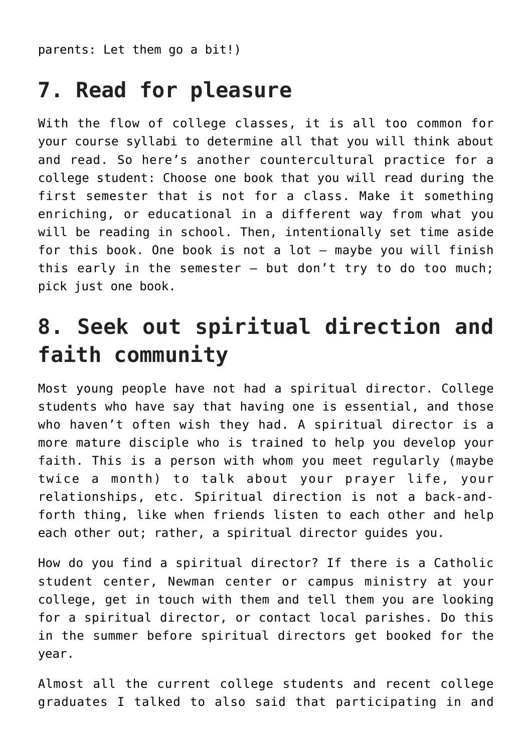parents: Let them go a bit!)

## **7. Read for pleasure**

With the flow of college classes, it is all too common for your course syllabi to determine all that you will think about and read. So here's another countercultural practice for a college student: Choose one book that you will read during the first semester that is not for a class. Make it something enriching, or educational in a different way from what you will be reading in school. Then, intentionally set time aside for this book. One book is not a lot — maybe you will finish this early in the semester — but don't try to do too much; pick just one book.

## **8. Seek out spiritual direction and faith community**

Most young people have not had a spiritual director. College students who have say that having one is essential, and those who haven't often wish they had. A spiritual director is a more mature disciple who is trained to help you develop your faith. This is a person with whom you meet regularly (maybe twice a month) to talk about your prayer life, your relationships, etc. Spiritual direction is not a back-andforth thing, like when friends listen to each other and help each other out; rather, a spiritual director guides you.

How do you find a spiritual director? If there is a Catholic student center, Newman center or campus ministry at your college, get in touch with them and tell them you are looking for a spiritual director, or contact local parishes. Do this in the summer before spiritual directors get booked for the year.

Almost all the current college students and recent college graduates I talked to also said that participating in and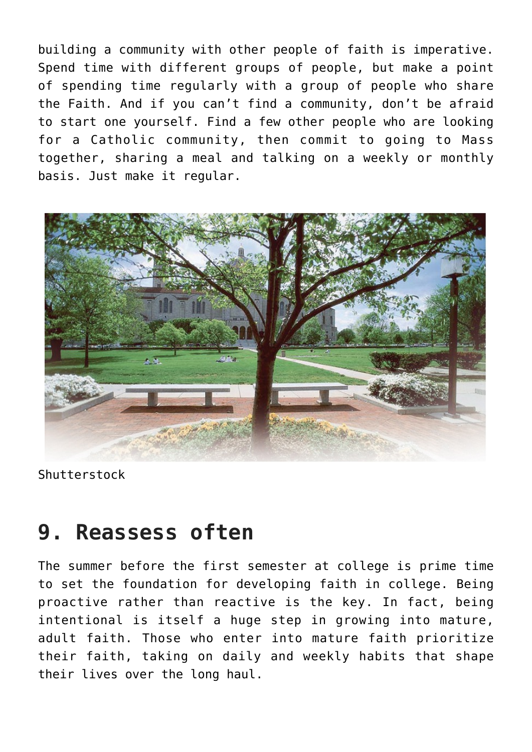building a community with other people of faith is imperative. Spend time with different groups of people, but make a point of spending time regularly with a group of people who share the Faith. And if you can't find a community, don't be afraid to start one yourself. Find a few other people who are looking for a Catholic community, then commit to going to Mass together, sharing a meal and talking on a weekly or monthly basis. Just make it regular.



Shutterstock

#### **9. Reassess often**

The summer before the first semester at college is prime time to set the foundation for developing faith in college. Being proactive rather than reactive is the key. In fact, being intentional is itself a huge step in growing into mature, adult faith. Those who enter into mature faith prioritize their faith, taking on daily and weekly habits that shape their lives over the long haul.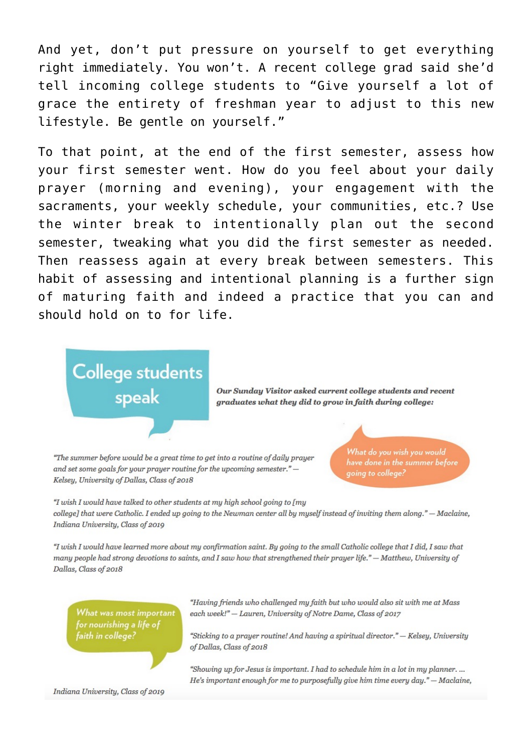And yet, don't put pressure on yourself to get everything right immediately. You won't. A recent college grad said she'd tell incoming college students to "Give yourself a lot of grace the entirety of freshman year to adjust to this new lifestyle. Be gentle on vourself."

To that point, at the end of the first semester, assess how your first semester went. How do you feel about your daily prayer (morning and evening), your engagement with the sacraments, your weekly schedule, your communities, etc.? Use the winter break to intentionally plan out the second semester, tweaking what you did the first semester as needed. Then reassess again at every break between semesters. This habit of assessing and intentional planning is a further sign of maturing faith and indeed a practice that you can and should hold on to for life.

**College students** speak

Our Sunday Visitor asked current college students and recent graduates what they did to grow in faith during college:

"The summer before would be a great time to get into a routine of daily prayer and set some goals for your prayer routine for the upcoming semester." -Kelsey, University of Dallas, Class of 2018

What do you wish you would have done in the summer before going to college?

"I wish I would have talked to other students at my high school going to [my college] that were Catholic. I ended up going to the Newman center all by myself instead of inviting them along." - Maclaine, Indiana University, Class of 2019

"I wish I would have learned more about my confirmation saint. By going to the small Catholic college that I did, I saw that many people had strong devotions to saints, and I saw how that strengthened their prayer life." - Matthew, University of Dallas, Class of 2018

What was most important for nourishing a life of faith in college?

Indiana University, Class of 2019

"Having friends who challenged my faith but who would also sit with me at Mass each week!" - Lauren, University of Notre Dame, Class of 2017

"Sticking to a prayer routine! And having a spiritual director." - Kelsey, University of Dallas, Class of 2018

"Showing up for Jesus is important. I had to schedule him in a lot in my planner. ... He's important enough for me to purposefully give him time every day."  $-$  Maclaine,